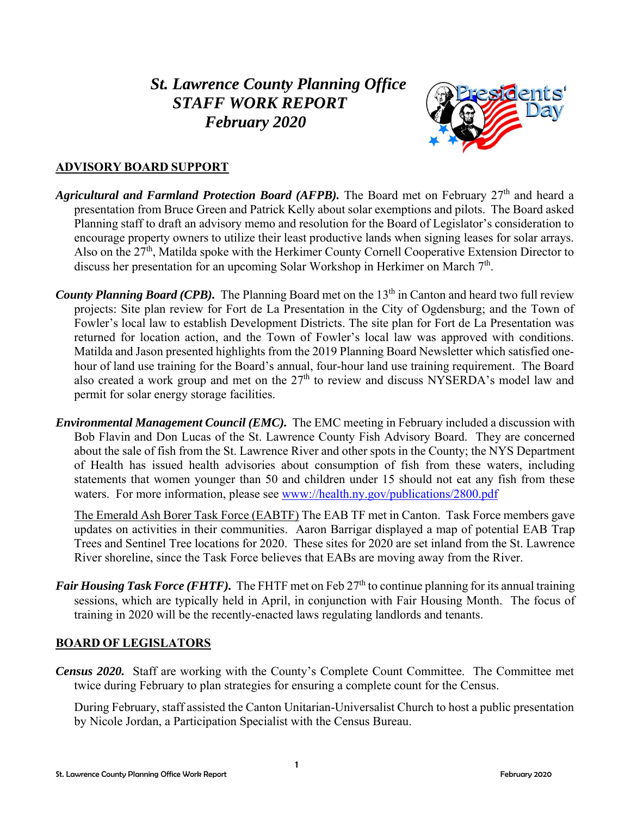# *St. Lawrence County Planning Office STAFF WORK REPORT February 2020*



## **ADVISORY BOARD SUPPORT**

- Agricultural and Farmland Protection Board (AFPB). The Board met on February 27<sup>th</sup> and heard a presentation from Bruce Green and Patrick Kelly about solar exemptions and pilots. The Board asked Planning staff to draft an advisory memo and resolution for the Board of Legislator's consideration to encourage property owners to utilize their least productive lands when signing leases for solar arrays. Also on the 27<sup>th</sup>, Matilda spoke with the Herkimer County Cornell Cooperative Extension Director to discuss her presentation for an upcoming Solar Workshop in Herkimer on March 7<sup>th</sup>.
- *County Planning Board (CPB).* The Planning Board met on the 13<sup>th</sup> in Canton and heard two full review projects: Site plan review for Fort de La Presentation in the City of Ogdensburg; and the Town of Fowler's local law to establish Development Districts. The site plan for Fort de La Presentation was returned for location action, and the Town of Fowler's local law was approved with conditions. Matilda and Jason presented highlights from the 2019 Planning Board Newsletter which satisfied onehour of land use training for the Board's annual, four-hour land use training requirement. The Board also created a work group and met on the  $27<sup>th</sup>$  to review and discuss NYSERDA's model law and permit for solar energy storage facilities.
- *Environmental Management Council (EMC).* The EMC meeting in February included a discussion with Bob Flavin and Don Lucas of the St. Lawrence County Fish Advisory Board. They are concerned about the sale of fish from the St. Lawrence River and other spots in the County; the NYS Department of Health has issued health advisories about consumption of fish from these waters, including statements that women younger than 50 and children under 15 should not eat any fish from these waters. For more information, please see www://health.ny.gov/publications/2800.pdf

The Emerald Ash Borer Task Force (EABTF) The EAB TF met in Canton. Task Force members gave updates on activities in their communities. Aaron Barrigar displayed a map of potential EAB Trap Trees and Sentinel Tree locations for 2020. These sites for 2020 are set inland from the St. Lawrence River shoreline, since the Task Force believes that EABs are moving away from the River.

*Fair Housing Task Force (FHTF).* The FHTF met on Feb 27<sup>th</sup> to continue planning for its annual training sessions, which are typically held in April, in conjunction with Fair Housing Month. The focus of training in 2020 will be the recently-enacted laws regulating landlords and tenants.

## **BOARD OF LEGISLATORS**

*Census 2020.* Staff are working with the County's Complete Count Committee. The Committee met twice during February to plan strategies for ensuring a complete count for the Census.

During February, staff assisted the Canton Unitarian-Universalist Church to host a public presentation by Nicole Jordan, a Participation Specialist with the Census Bureau.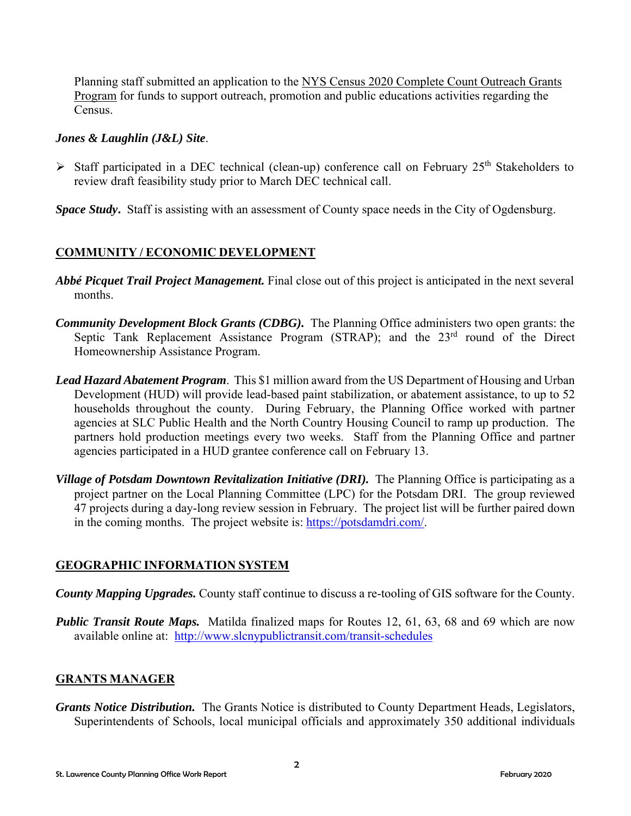Planning staff submitted an application to the NYS Census 2020 Complete Count Outreach Grants Program for funds to support outreach, promotion and public educations activities regarding the Census.

#### *Jones & Laughlin (J&L) Site*.

- $\triangleright$  Staff participated in a DEC technical (clean-up) conference call on February 25<sup>th</sup> Stakeholders to review draft feasibility study prior to March DEC technical call.
- *Space Study***.** Staff is assisting with an assessment of County space needs in the City of Ogdensburg.

## **COMMUNITY / ECONOMIC DEVELOPMENT**

- *Abbé Picquet Trail Project Management.* Final close out of this project is anticipated in the next several months.
- *Community Development Block Grants (CDBG).* The Planning Office administers two open grants: the Septic Tank Replacement Assistance Program (STRAP); and the 23<sup>rd</sup> round of the Direct Homeownership Assistance Program.
- *Lead Hazard Abatement Program*. This \$1 million award from the US Department of Housing and Urban Development (HUD) will provide lead-based paint stabilization, or abatement assistance, to up to 52 households throughout the county. During February, the Planning Office worked with partner agencies at SLC Public Health and the North Country Housing Council to ramp up production. The partners hold production meetings every two weeks. Staff from the Planning Office and partner agencies participated in a HUD grantee conference call on February 13.
- *Village of Potsdam Downtown Revitalization Initiative (DRI).* The Planning Office is participating as a project partner on the Local Planning Committee (LPC) for the Potsdam DRI. The group reviewed 47 projects during a day-long review session in February. The project list will be further paired down in the coming months. The project website is: https://potsdamdri.com/.

## **GEOGRAPHIC INFORMATION SYSTEM**

*County Mapping Upgrades.* County staff continue to discuss a re-tooling of GIS software for the County.

*Public Transit Route Maps.* Matilda finalized maps for Routes 12, 61, 63, 68 and 69 which are now available online at: http://www.slcnypublictransit.com/transit-schedules

## **GRANTS MANAGER**

*Grants Notice Distribution.* The Grants Notice is distributed to County Department Heads, Legislators, Superintendents of Schools, local municipal officials and approximately 350 additional individuals